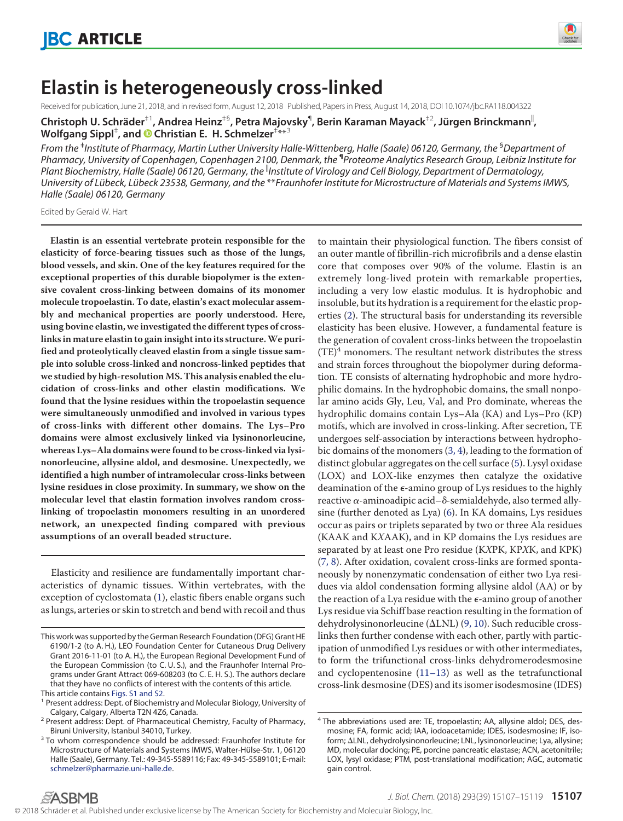

# **Elastin is heterogeneously cross-linked**

Received for publication, June 21, 2018, and in revised form, August 12, 2018 Published, Papers in Press, August 14, 2018, DOI 10.1074/jbc.RA118.004322

 $\mathsf{Christoph\ U. Schräder}^{\pm 1}$ , Andrea Heinz $^{ \pm \mathrm{s}}$ , Petra Majovsky $^{ \mathsf{q}}$ , Berin Karaman Mayack $^{ \pm 2}$ , Jürgen Brinckmann $^{ \parallel}$ , **Wolfgang Sippl**‡ **, and X Christian E. H. Schmelzer**‡ \*\*3

*From the* ‡ *Institute of Pharmacy, Martin Luther University Halle-Wittenberg, Halle (Saale) 06120, Germany, the* §*Department of Pharmacy, University of Copenhagen, Copenhagen 2100, Denmark, the* ¶ *Proteome Analytics Research Group, Leibniz Institute for* Plant Biochemistry, Halle (Saale) 06120, Germany, the <sup>li</sup>institute of Virology and Cell Biology, Department of Dermatology, *University of Lu¨beck, Lu¨beck 23538, Germany, and the* \*\**Fraunhofer Institute for Microstructure of Materials and Systems IMWS, Halle (Saale) 06120, Germany*

Edited by Gerald W. Hart

**Elastin is an essential vertebrate protein responsible for the elasticity of force-bearing tissues such as those of the lungs, blood vessels, and skin. One of the key features required for the exceptional properties of this durable biopolymer is the extensive covalent cross-linking between domains of its monomer molecule tropoelastin. To date, elastin's exact molecular assembly and mechanical properties are poorly understood. Here, using bovine elastin, we investigated the different types of crosslinks in mature elastin to gain insight into its structure.We purified and proteolytically cleaved elastin from a single tissue sample into soluble cross-linked and noncross-linked peptides that we studied by high-resolution MS. This analysis enabled the elucidation of cross-links and other elastin modifications. We found that the lysine residues within the tropoelastin sequence were simultaneously unmodified and involved in various types of cross-links with different other domains. The Lys–Pro domains were almost exclusively linked via lysinonorleucine, whereas Lys–Ala domains were found to be cross-linked via lysinonorleucine, allysine aldol, and desmosine. Unexpectedly, we identified a high number of intramolecular cross-links between lysine residues in close proximity. In summary, we show on the molecular level that elastin formation involves random crosslinking of tropoelastin monomers resulting in an unordered network, an unexpected finding compared with previous assumptions of an overall beaded structure.**

Elasticity and resilience are fundamentally important characteristics of dynamic tissues. Within vertebrates, with the exception of cyclostomata [\(1\)](#page-11-0), elastic fibers enable organs such as lungs, arteries or skin to stretch and bend with recoil and thus

to maintain their physiological function. The fibers consist of an outer mantle of fibrillin-rich microfibrils and a dense elastin core that composes over 90% of the volume. Elastin is an extremely long-lived protein with remarkable properties, including a very low elastic modulus. It is hydrophobic and insoluble, but its hydration is a requirement for the elastic properties [\(2\)](#page-11-1). The structural basis for understanding its reversible elasticity has been elusive. However, a fundamental feature is the generation of covalent cross-links between the tropoelastin  $(TE)^4$  monomers. The resultant network distributes the stress and strain forces throughout the biopolymer during deformation. TE consists of alternating hydrophobic and more hydrophilic domains. In the hydrophobic domains, the small nonpolar amino acids Gly, Leu, Val, and Pro dominate, whereas the hydrophilic domains contain Lys–Ala (KA) and Lys–Pro (KP) motifs, which are involved in cross-linking. After secretion, TE undergoes self-association by interactions between hydrophobic domains of the monomers [\(3,](#page-11-2) [4\)](#page-11-3), leading to the formation of distinct globular aggregates on the cell surface [\(5\)](#page-11-4). Lysyl oxidase (LOX) and LOX-like enzymes then catalyze the oxidative deamination of the  $\epsilon$ -amino group of Lys residues to the highly reactive  $\alpha$ -aminoadipic acid– $\delta$ -semialdehyde, also termed allysine (further denoted as Lya) [\(6\)](#page-11-5). In KA domains, Lys residues occur as pairs or triplets separated by two or three Ala residues (KAAK and KXAAK), and in KP domains the Lys residues are separated by at least one Pro residue (KXPK, KPXK, and KPK) [\(7,](#page-11-6) [8\)](#page-11-7). After oxidation, covalent cross-links are formed spontaneously by nonenzymatic condensation of either two Lya residues via aldol condensation forming allysine aldol (AA) or by the reaction of a Lya residue with the  $\epsilon$ -amino group of another Lys residue via Schiff base reaction resulting in the formation of dehydrolysinonorleucine ( $\Delta \text{LNL}$ ) [\(9,](#page-11-8) [10\)](#page-11-9). Such reducible crosslinks then further condense with each other, partly with participation of unmodified Lys residues or with other intermediates, to form the trifunctional cross-links dehydromerodesmosine and cyclopentenosine [\(11–](#page-11-10)[13\)](#page-11-11) as well as the tetrafunctional cross-link desmosine (DES) and its isomer isodesmosine (IDES)

This work was supported by the German Research Foundation (DFG) Grant HE 6190/1-2 (to A. H.), LEO Foundation Center for Cutaneous Drug Delivery Grant 2016-11-01 (to A. H.), the European Regional Development Fund of the European Commission (to C. U. S.), and the Fraunhofer Internal Programs under Grant Attract 069-608203 (to C. E. H. S.). The authors declare that they have no conflicts of interest with the contents of this article. This article contains Figs. S1 and S2.

<sup>&</sup>lt;sup>1</sup> Present address: Dept. of Biochemistry and Molecular Biology, University of Calgary, Calgary, Alberta T2N 4Z6, Canada.

<sup>&</sup>lt;sup>2</sup> Present address: Dept. of Pharmaceutical Chemistry, Faculty of Pharmacy, Biruni University, Istanbul 34010, Turkey.

<sup>&</sup>lt;sup>3</sup> To whom correspondence should be addressed: Fraunhofer Institute for Microstructure of Materials and Systems IMWS, Walter-Hülse-Str. 1, 06120 Halle (Saale), Germany. Tel.: 49-345-5589116; Fax: 49-345-5589101; E-mail: schmelzer@pharmazie.uni-halle.de.

<sup>&</sup>lt;sup>4</sup> The abbreviations used are: TE, tropoelastin; AA, allysine aldol; DES, desmosine; FA, formic acid; IAA, iodoacetamide; IDES, isodesmosine; IF, isoform; ΔLNL, dehydrolysinonorleucine; LNL, lysinonorleucine; Lya, allysine; MD, molecular docking; PE, porcine pancreatic elastase; ACN, acetonitrile; LOX, lysyl oxidase; PTM, post-translational modification; AGC, automatic gain control.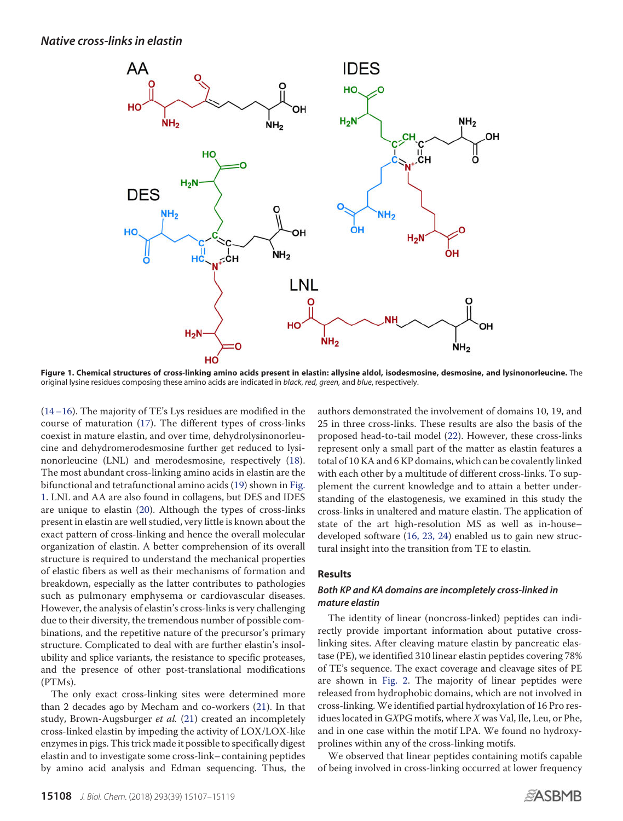<span id="page-1-0"></span>

**Figure 1. Chemical structures of cross-linking amino acids present in elastin: allysine aldol, isodesmosine, desmosine, and lysinonorleucine.** The original lysine residues composing these amino acids are indicated in *black*, *red, green,* and *blue*, respectively.

[\(14–](#page-11-12)[16\)](#page-11-13). The majority of TE's Lys residues are modified in the course of maturation [\(17\)](#page-11-14). The different types of cross-links coexist in mature elastin, and over time, dehydrolysinonorleucine and dehydromerodesmosine further get reduced to lysinonorleucine (LNL) and merodesmosine, respectively [\(18\)](#page-11-15). The most abundant cross-linking amino acids in elastin are the bifunctional and tetrafunctional amino acids [\(19\)](#page-11-16) shown in [Fig.](#page-1-0) [1.](#page-1-0) LNL and AA are also found in collagens, but DES and IDES are unique to elastin [\(20\)](#page-11-17). Although the types of cross-links present in elastin are well studied, very little is known about the exact pattern of cross-linking and hence the overall molecular organization of elastin. A better comprehension of its overall structure is required to understand the mechanical properties of elastic fibers as well as their mechanisms of formation and breakdown, especially as the latter contributes to pathologies such as pulmonary emphysema or cardiovascular diseases. However, the analysis of elastin's cross-links is very challenging due to their diversity, the tremendous number of possible combinations, and the repetitive nature of the precursor's primary structure. Complicated to deal with are further elastin's insolubility and splice variants, the resistance to specific proteases, and the presence of other post-translational modifications (PTMs).

The only exact cross-linking sites were determined more than 2 decades ago by Mecham and co-workers [\(21\)](#page-11-18). In that study, Brown-Augsburger *et al.* [\(21\)](#page-11-18) created an incompletely cross-linked elastin by impeding the activity of LOX/LOX-like enzymes in pigs. This trick made it possible to specifically digest elastin and to investigate some cross-link– containing peptides by amino acid analysis and Edman sequencing. Thus, the

authors demonstrated the involvement of domains 10, 19, and 25 in three cross-links. These results are also the basis of the proposed head-to-tail model [\(22\)](#page-11-19). However, these cross-links represent only a small part of the matter as elastin features a total of 10 KA and 6 KP domains, which can be covalently linked with each other by a multitude of different cross-links. To supplement the current knowledge and to attain a better understanding of the elastogenesis, we examined in this study the cross-links in unaltered and mature elastin. The application of state of the art high-resolution MS as well as in-house– developed software [\(16,](#page-11-13) [23,](#page-11-20) [24\)](#page-11-21) enabled us to gain new structural insight into the transition from TE to elastin.

# **Results**

# *Both KP and KA domains are incompletely cross-linked in mature elastin*

The identity of linear (noncross-linked) peptides can indirectly provide important information about putative crosslinking sites. After cleaving mature elastin by pancreatic elastase (PE), we identified 310 linear elastin peptides covering 78% of TE's sequence. The exact coverage and cleavage sites of PE are shown in [Fig. 2.](#page-2-0) The majority of linear peptides were released from hydrophobic domains, which are not involved in cross-linking. We identified partial hydroxylation of 16 Pro residues located in GXPG motifs, where X was Val, Ile, Leu, or Phe, and in one case within the motif LPA. We found no hydroxyprolines within any of the cross-linking motifs.

We observed that linear peptides containing motifs capable of being involved in cross-linking occurred at lower frequency

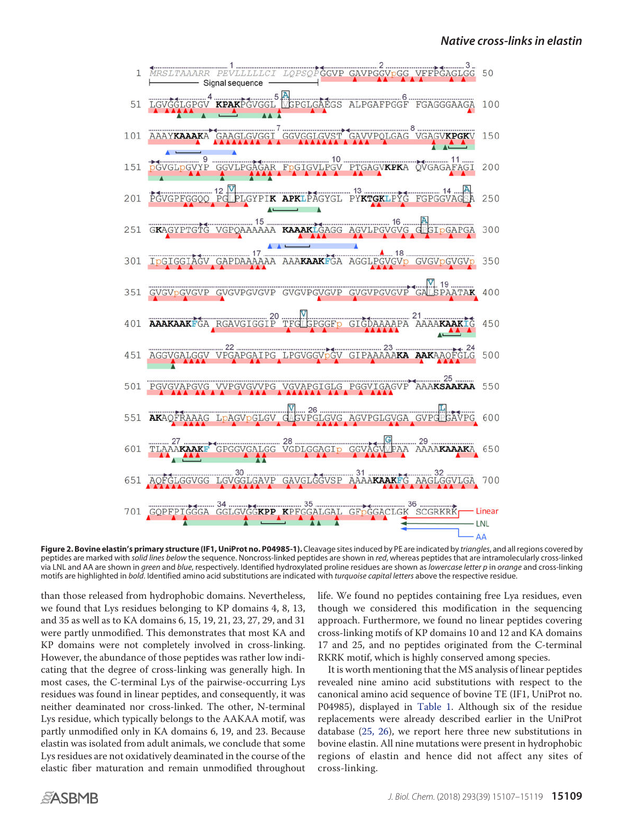<span id="page-2-0"></span>

**Figure 2. Bovine elastin's primary structure (IF1, UniProt no. P04985-1).** Cleavage sites induced by PE are indicated by *triangles*, and all regions covered by peptides are marked with *solid lines below* the sequence. Noncross-linked peptides are shown in *red*, whereas peptides that are intramolecularly cross-linked via LNL and AA are shown in *green* and *blue*, respectively. Identified hydroxylated proline residues are shown as *lowercase letter p* in *orange* and cross-linking motifs are highlighted in *bold*. Identified amino acid substitutions are indicated with *turquoise capital letters* above the respective residue.

than those released from hydrophobic domains. Nevertheless, we found that Lys residues belonging to KP domains 4, 8, 13, and 35 as well as to KA domains 6, 15, 19, 21, 23, 27, 29, and 31 were partly unmodified. This demonstrates that most KA and KP domains were not completely involved in cross-linking. However, the abundance of those peptides was rather low indicating that the degree of cross-linking was generally high. In most cases, the C-terminal Lys of the pairwise-occurring Lys residues was found in linear peptides, and consequently, it was neither deaminated nor cross-linked. The other, N-terminal Lys residue, which typically belongs to the AAKAA motif, was partly unmodified only in KA domains 6, 19, and 23. Because elastin was isolated from adult animals, we conclude that some Lys residues are not oxidatively deaminated in the course of the elastic fiber maturation and remain unmodified throughout

life. We found no peptides containing free Lya residues, even though we considered this modification in the sequencing approach. Furthermore, we found no linear peptides covering cross-linking motifs of KP domains 10 and 12 and KA domains 17 and 25, and no peptides originated from the C-terminal RKRK motif, which is highly conserved among species.

It is worth mentioning that the MS analysis of linear peptides revealed nine amino acid substitutions with respect to the canonical amino acid sequence of bovine TE (IF1, UniProt no. P04985), displayed in [Table 1.](#page-3-0) Although six of the residue replacements were already described earlier in the UniProt database [\(25,](#page-11-22) [26\)](#page-11-23), we report here three new substitutions in bovine elastin. All nine mutations were present in hydrophobic regions of elastin and hence did not affect any sites of cross-linking.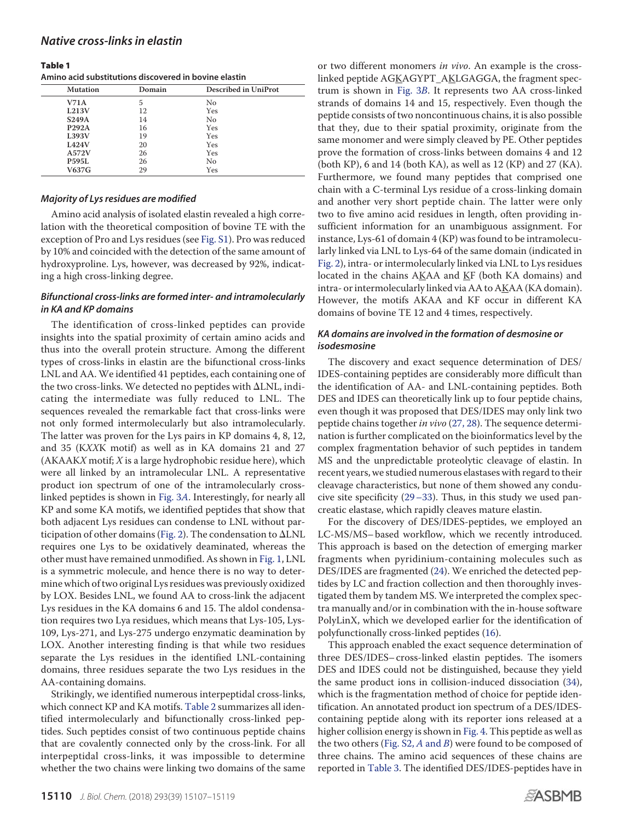#### <span id="page-3-0"></span>Table 1

**Amino acid substitutions discovered in bovine elastin**

| <b>Mutation</b> | Domain | <b>Described in UniProt</b> |  |  |
|-----------------|--------|-----------------------------|--|--|
| V71A            | 5      | No                          |  |  |
| L213V           | 12     | Yes                         |  |  |
| <b>S249A</b>    | 14     | No                          |  |  |
| <b>P292A</b>    | 16     | Yes                         |  |  |
| L393V           | 19     | Yes                         |  |  |
| <b>L424V</b>    | 20     | Yes                         |  |  |
| A572V           | 26     | Yes                         |  |  |
| <b>P595L</b>    | 26     | No                          |  |  |
| V637G           | 29     | Yes                         |  |  |

### *Majority of Lys residues are modified*

Amino acid analysis of isolated elastin revealed a high correlation with the theoretical composition of bovine TE with the exception of Pro and Lys residues (see Fig. S1). Pro was reduced by 10% and coincided with the detection of the same amount of hydroxyproline. Lys, however, was decreased by 92%, indicating a high cross-linking degree.

# *Bifunctional cross-links are formed inter- and intramolecularly in KA and KP domains*

The identification of cross-linked peptides can provide insights into the spatial proximity of certain amino acids and thus into the overall protein structure. Among the different types of cross-links in elastin are the bifunctional cross-links LNL and AA. We identified 41 peptides, each containing one of the two cross-links. We detected no peptides with  $\Delta \text{LNL}$ , indicating the intermediate was fully reduced to LNL. The sequences revealed the remarkable fact that cross-links were not only formed intermolecularly but also intramolecularly. The latter was proven for the Lys pairs in KP domains 4, 8, 12, and 35 (KXXK motif) as well as in KA domains 21 and 27 (AKAAKX motif; X is a large hydrophobic residue here), which were all linked by an intramolecular LNL. A representative product ion spectrum of one of the intramolecularly crosslinked peptides is shown in [Fig. 3](#page-4-0)A. Interestingly, for nearly all KP and some KA motifs, we identified peptides that show that both adjacent Lys residues can condense to LNL without par-ticipation of other domains [\(Fig. 2\)](#page-2-0). The condensation to  $\Delta \text{LNL}$ requires one Lys to be oxidatively deaminated, whereas the other must have remained unmodified. As shown in [Fig. 1,](#page-1-0) LNL is a symmetric molecule, and hence there is no way to determine which of two original Lys residues was previously oxidized by LOX. Besides LNL, we found AA to cross-link the adjacent Lys residues in the KA domains 6 and 15. The aldol condensation requires two Lya residues, which means that Lys-105, Lys-109, Lys-271, and Lys-275 undergo enzymatic deamination by LOX. Another interesting finding is that while two residues separate the Lys residues in the identified LNL-containing domains, three residues separate the two Lys residues in the AA-containing domains.

Strikingly, we identified numerous interpeptidal cross-links, which connect KP and KA motifs. [Table 2](#page-5-0) summarizes all identified intermolecularly and bifunctionally cross-linked peptides. Such peptides consist of two continuous peptide chains that are covalently connected only by the cross-link. For all interpeptidal cross-links, it was impossible to determine whether the two chains were linking two domains of the same

or two different monomers in vivo. An example is the crosslinked peptide AGKAGYPT\_AKLGAGGA, the fragment spectrum is shown in [Fig. 3](#page-4-0)B. It represents two AA cross-linked strands of domains 14 and 15, respectively. Even though the peptide consists of two noncontinuous chains, it is also possible that they, due to their spatial proximity, originate from the same monomer and were simply cleaved by PE. Other peptides prove the formation of cross-links between domains 4 and 12 (both KP), 6 and 14 (both KA), as well as 12 (KP) and 27 (KA). Furthermore, we found many peptides that comprised one chain with a C-terminal Lys residue of a cross-linking domain and another very short peptide chain. The latter were only two to five amino acid residues in length, often providing insufficient information for an unambiguous assignment. For instance, Lys-61 of domain 4 (KP) was found to be intramolecularly linked via LNL to Lys-64 of the same domain (indicated in [Fig. 2\)](#page-2-0), intra- or intermolecularly linked via LNL to Lys residues located in the chains AKAA and KF (both KA domains) and intra- or intermolecularly linked via AA to AKAA (KA domain). However, the motifs AKAA and KF occur in different KA domains of bovine TE 12 and 4 times, respectively.

# *KA domains are involved in the formation of desmosine or isodesmosine*

The discovery and exact sequence determination of DES/ IDES-containing peptides are considerably more difficult than the identification of AA- and LNL-containing peptides. Both DES and IDES can theoretically link up to four peptide chains, even though it was proposed that DES/IDES may only link two peptide chains together in vivo [\(27,](#page-11-24) [28\)](#page-11-25). The sequence determination is further complicated on the bioinformatics level by the complex fragmentation behavior of such peptides in tandem MS and the unpredictable proteolytic cleavage of elastin. In recent years, we studied numerous elastases with regard to their cleavage characteristics, but none of them showed any conducive site specificity [\(29–](#page-11-26)[33\)](#page-12-0). Thus, in this study we used pancreatic elastase, which rapidly cleaves mature elastin.

For the discovery of DES/IDES-peptides, we employed an LC-MS/MS– based workflow, which we recently introduced. This approach is based on the detection of emerging marker fragments when pyridinium-containing molecules such as DES/IDES are fragmented [\(24\)](#page-11-21). We enriched the detected peptides by LC and fraction collection and then thoroughly investigated them by tandem MS. We interpreted the complex spectra manually and/or in combination with the in-house software PolyLinX, which we developed earlier for the identification of polyfunctionally cross-linked peptides [\(16\)](#page-11-13).

This approach enabled the exact sequence determination of three DES/IDES– cross-linked elastin peptides. The isomers DES and IDES could not be distinguished, because they yield the same product ions in collision-induced dissociation [\(34\)](#page-12-1), which is the fragmentation method of choice for peptide identification. An annotated product ion spectrum of a DES/IDEScontaining peptide along with its reporter ions released at a higher collision energy is shown in [Fig. 4.](#page-6-0) This peptide as well as the two others (Fig.  $S2$ ,  $A$  and  $B$ ) were found to be composed of three chains. The amino acid sequences of these chains are reported in [Table 3.](#page-6-1) The identified DES/IDES-peptides have in

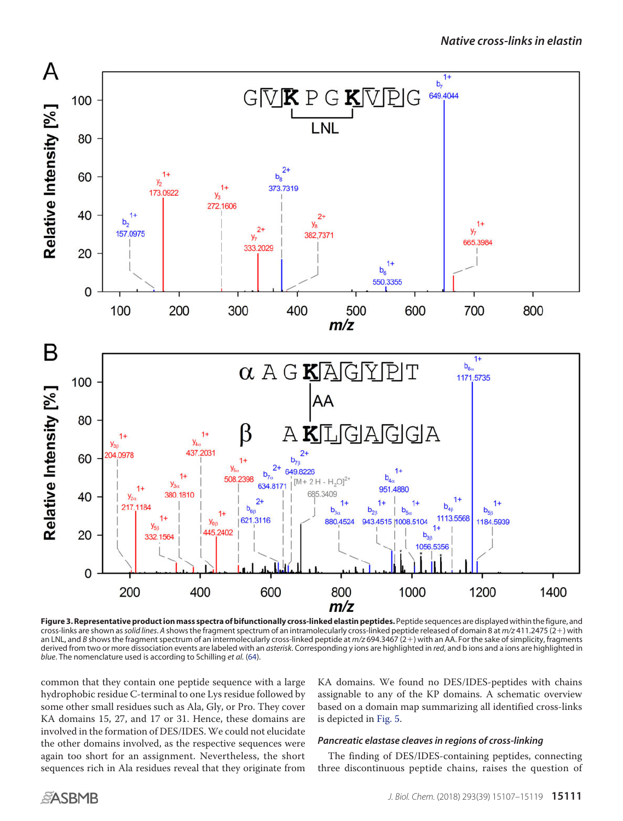<span id="page-4-0"></span>

**Figure 3. Representative product ion mass spectra of bifunctionally cross-linked elastin peptides.** Peptide sequences are displayed within the figure, and cross-links are shown as*solid lines*. *A* shows the fragment spectrum of an intramolecularly cross-linked peptide released of domain 8 at *m/z* 411.2475 (2) with an LNL, and *B* shows the fragment spectrum of an intermolecularly cross-linked peptide at *m*/z 694.3467 (2+) with an AA. For the sake of simplicity, fragments derived from two or more dissociation events are labeled with an *asterisk*. Corresponding y ions are highlighted in *red*, and b ions and a ions are highlighted in *blue*. The nomenclature used is according to Schilling *et al.* [\(64\)](#page-12-2).

common that they contain one peptide sequence with a large hydrophobic residue C-terminal to one Lys residue followed by some other small residues such as Ala, Gly, or Pro. They cover KA domains 15, 27, and 17 or 31. Hence, these domains are involved in the formation of DES/IDES. We could not elucidate the other domains involved, as the respective sequences were again too short for an assignment. Nevertheless, the short sequences rich in Ala residues reveal that they originate from

KA domains. We found no DES/IDES-peptides with chains assignable to any of the KP domains. A schematic overview based on a domain map summarizing all identified cross-links is depicted in [Fig. 5.](#page-7-0)

# *Pancreatic elastase cleaves in regions of cross-linking*

The finding of DES/IDES-containing peptides, connecting three discontinuous peptide chains, raises the question of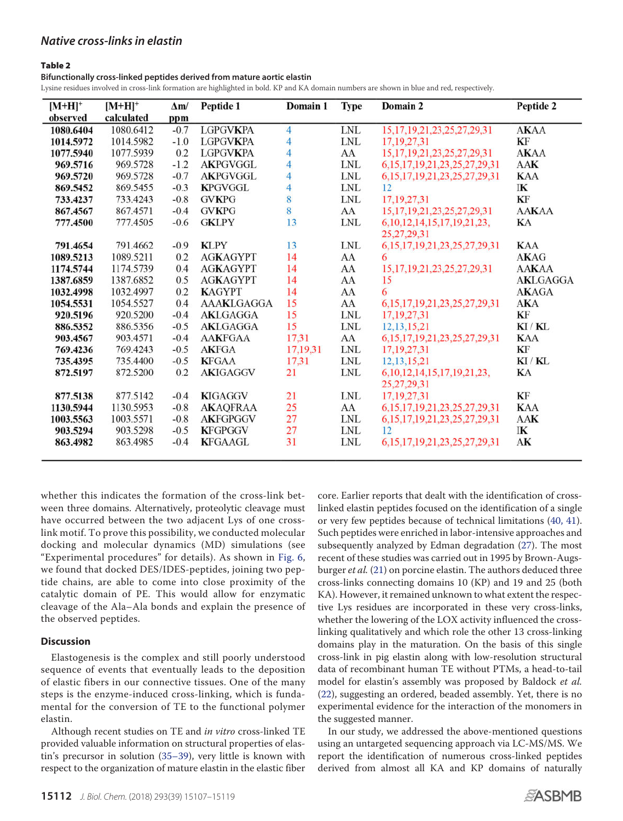## <span id="page-5-0"></span>Table 2

**Bifunctionally cross-linked peptides derived from mature aortic elastin**

Lysine residues involved in cross-link formation are highlighted in bold. KP and KA domain numbers are shown in blue and red, respectively.

| $[M+H]^+$ | $[M+H]^+$  | $\Delta$ m/ | Peptide 1         | Domain 1       | <b>Type</b>                 | Domain 2                              | Peptide 2    |
|-----------|------------|-------------|-------------------|----------------|-----------------------------|---------------------------------------|--------------|
| observed  | calculated | ppm         |                   |                |                             |                                       |              |
| 1080.6404 | 1080.6412  | $-0.7$      | <b>LGPGVKPA</b>   | $\overline{4}$ | $\ensuremath{\mathrm{LNL}}$ | 15, 17, 19, 21, 23, 25, 27, 29, 31    | <b>AKAA</b>  |
| 1014.5972 | 1014.5982  | $-1.0$      | <b>LGPGVKPA</b>   | 4              | <b>LNL</b>                  | 17, 19, 27, 31                        | KF           |
| 1077.5940 | 1077.5939  | 0.2         | <b>LGPGVKPA</b>   | 4              | AA                          | 15, 17, 19, 21, 23, 25, 27, 29, 31    | <b>AKAA</b>  |
| 969.5716  | 969.5728   | $-1.2$      | <b>AKPGVGGL</b>   | $\overline{4}$ | <b>LNL</b>                  | 6, 15, 17, 19, 21, 23, 25, 27, 29, 31 | <b>AAK</b>   |
| 969.5720  | 969.5728   | $-0.7$      | <b>AKPGVGGL</b>   | 4              | <b>LNL</b>                  | 6, 15, 17, 19, 21, 23, 25, 27, 29, 31 | <b>KAA</b>   |
| 869.5452  | 869.5455   | $-0.3$      | <b>KPGVGGL</b>    | $\overline{4}$ | $\ensuremath{\mathrm{LNL}}$ | 12                                    | IK           |
| 733.4237  | 733.4243   | $-0.8$      | <b>GVKPG</b>      | 8              | $\ensuremath{\text{LNL}}$   | 17, 19, 27, 31                        | KF           |
| 867.4567  | 867.4571   | $-0.4$      | <b>GVKPG</b>      | 8              | AA                          | 15, 17, 19, 21, 23, 25, 27, 29, 31    | <b>AAKAA</b> |
| 777.4500  | 777,4505   | $-0.6$      | <b>GKLPY</b>      | 13             | $\ensuremath{\mathrm{LNL}}$ | 6, 10, 12, 14, 15, 17, 19, 21, 23,    | KA           |
|           |            |             |                   |                |                             | 25,27,29,31                           |              |
| 791.4654  | 791.4662   | $-0.9$      | <b>KLPY</b>       | 13             | $\ensuremath{\text{LNL}}$   | 6, 15, 17, 19, 21, 23, 25, 27, 29, 31 | <b>KAA</b>   |
| 1089.5213 | 1089.5211  | 0.2         | <b>AGKAGYPT</b>   | 14             | AA                          | 6                                     | <b>AKAG</b>  |
| 1174.5744 | 1174.5739  | 0.4         | <b>AGKAGYPT</b>   | 14             | AA                          | 15, 17, 19, 21, 23, 25, 27, 29, 31    | <b>AAKAA</b> |
| 1387.6859 | 1387.6852  | 0.5         | <b>AGKAGYPT</b>   | 14             | AA                          | 15                                    | AKLGAGGA     |
| 1032.4998 | 1032.4997  | 0.2         | <b>KAGYPT</b>     | 14             | AA                          | 6                                     | <b>AKAGA</b> |
| 1054.5531 | 1054.5527  | 0.4         | <b>AAAKLGAGGA</b> | 15             | AA                          | 6, 15, 17, 19, 21, 23, 25, 27, 29, 31 | <b>AKA</b>   |
| 920.5196  | 920.5200   | $-0.4$      | <b>AKLGAGGA</b>   | 15             | <b>LNL</b>                  | 17, 19, 27, 31                        | KF           |
| 886.5352  | 886.5356   | $-0.5$      | <b>AKLGAGGA</b>   | 15             | <b>LNL</b>                  | 12, 13, 15, 21                        | KI/KL        |
| 903.4567  | 903.4571   | $-0.4$      | <b>AAKFGAA</b>    | 17,31          | AA                          | 6, 15, 17, 19, 21, 23, 25, 27, 29, 31 | <b>KAA</b>   |
| 769.4236  | 769.4243   | $-0.5$      | <b>AKFGA</b>      | 17,19,31       | $\ensuremath{\text{LNL}}$   | 17, 19, 27, 31                        | KF           |
| 735.4395  | 735.4400   | $-0.5$      | <b>KFGAA</b>      | 17,31          | <b>LNL</b>                  | 12, 13, 15, 21                        | KI/KL        |
| 872.5197  | 872.5200   | 0.2         | <b>AKIGAGGV</b>   | 21             | $\ensuremath{\mathrm{LNL}}$ | 6, 10, 12, 14, 15, 17, 19, 21, 23,    | KA           |
|           |            |             |                   |                |                             | 25,27,29,31                           |              |
| 877.5138  | 877.5142   | $-0.4$      | <b>KIGAGGV</b>    | 21             | <b>LNL</b>                  | 17, 19, 27, 31                        | KF           |
| 1130.5944 | 1130.5953  | $-0.8$      | <b>AKAQFRAA</b>   | 25             | AA                          | 6, 15, 17, 19, 21, 23, 25, 27, 29, 31 | <b>KAA</b>   |
| 1003.5563 | 1003.5571  | $-0.8$      | <b>AKFGPGGV</b>   | 27             | <b>LNL</b>                  | 6, 15, 17, 19, 21, 23, 25, 27, 29, 31 | AAK          |
| 903.5294  | 903.5298   | $-0.5$      | <b>KFGPGGV</b>    | 27             | <b>LNL</b>                  | 12                                    | IK           |
| 863.4982  | 863.4985   | $-0.4$      | <b>KFGAAGL</b>    | 31             | <b>LNL</b>                  | 6, 15, 17, 19, 21, 23, 25, 27, 29, 31 | AK           |
|           |            |             |                   |                |                             |                                       |              |

whether this indicates the formation of the cross-link between three domains. Alternatively, proteolytic cleavage must have occurred between the two adjacent Lys of one crosslink motif. To prove this possibility, we conducted molecular docking and molecular dynamics (MD) simulations (see "Experimental procedures" for details). As shown in [Fig. 6,](#page-7-1) we found that docked DES/IDES-peptides, joining two peptide chains, are able to come into close proximity of the catalytic domain of PE. This would allow for enzymatic cleavage of the Ala–Ala bonds and explain the presence of the observed peptides.

# **Discussion**

Elastogenesis is the complex and still poorly understood sequence of events that eventually leads to the deposition of elastic fibers in our connective tissues. One of the many steps is the enzyme-induced cross-linking, which is fundamental for the conversion of TE to the functional polymer elastin.

Although recent studies on TE and in vitro cross-linked TE provided valuable information on structural properties of elastin's precursor in solution [\(35–](#page-12-3)[39\)](#page-12-4), very little is known with respect to the organization of mature elastin in the elastic fiber core. Earlier reports that dealt with the identification of crosslinked elastin peptides focused on the identification of a single or very few peptides because of technical limitations [\(40,](#page-12-5) [41\)](#page-12-6). Such peptides were enriched in labor-intensive approaches and subsequently analyzed by Edman degradation [\(27\)](#page-11-24). The most recent of these studies was carried out in 1995 by Brown-Augs-burger et al. [\(21\)](#page-11-18) on porcine elastin. The authors deduced three cross-links connecting domains 10 (KP) and 19 and 25 (both KA). However, it remained unknown to what extent the respective Lys residues are incorporated in these very cross-links, whether the lowering of the LOX activity influenced the crosslinking qualitatively and which role the other 13 cross-linking domains play in the maturation. On the basis of this single cross-link in pig elastin along with low-resolution structural data of recombinant human TE without PTMs, a head-to-tail model for elastin's assembly was proposed by Baldock et al. [\(22\)](#page-11-19), suggesting an ordered, beaded assembly. Yet, there is no experimental evidence for the interaction of the monomers in the suggested manner.

In our study, we addressed the above-mentioned questions using an untargeted sequencing approach via LC-MS/MS. We report the identification of numerous cross-linked peptides derived from almost all KA and KP domains of naturally

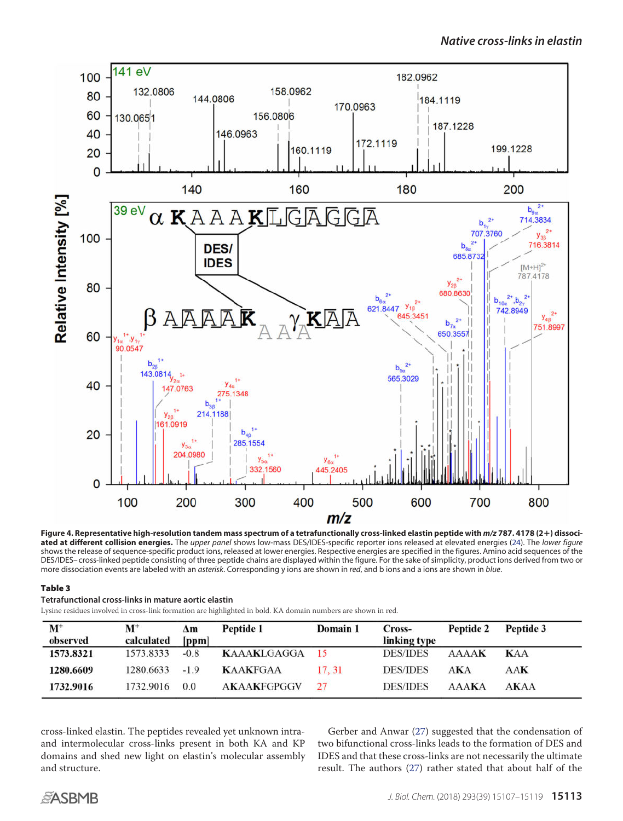<span id="page-6-0"></span>

**Figure 4. Representative high-resolution tandem mass spectrum of a tetrafunctionally cross-linked elastin peptide with** *m/z* **787. 4178 (2**-**) dissociated at different collision energies.** The *upper panel* shows low-mass DES/IDES-specific reporter ions released at elevated energies [\(24\)](#page-11-21). The *lower figure* shows the release of sequence-specific product ions, released at lower energies. Respective energies are specified in the figures. Amino acid sequences of the DES/IDES– cross-linked peptide consisting of three peptide chains are displayed within the figure. For the sake of simplicity, product ions derived from two or more dissociation events are labeled with an *asterisk*. Corresponding y ions are shown in *red*, and b ions and a ions are shown in *blue*.

## <span id="page-6-1"></span>Table 3

**Tetrafunctional cross-links in mature aortic elastin**

Lysine residues involved in cross-link formation are highlighted in bold. KA domain numbers are shown in red.

| $\mathbf{M}^+$<br>observed | $\mathbf{M}^+$<br>calculated | Δm<br>[ppm] | Peptide 1          | Domain 1 | Cross-<br>linking type | Peptide 2    | Peptide 3   |
|----------------------------|------------------------------|-------------|--------------------|----------|------------------------|--------------|-------------|
| 1573.8321                  | 1573.8333                    | $-0.8$      | KAAAKLGAGGA 15     |          | <b>DES/IDES</b>        | <b>AAAAK</b> | <b>KAA</b>  |
| 1280.6609                  | 1280.6633                    | $-1.9$      | <b>KAAKFGAA</b>    | 17.31    | <b>DES/IDES</b>        | AKA          | AAK         |
| 1732.9016                  | 1732.9016                    | 0.0         | <b>AKAAKFGPGGV</b> | 27       | <b>DES/IDES</b>        | <b>AAAKA</b> | <b>AKAA</b> |

cross-linked elastin. The peptides revealed yet unknown intraand intermolecular cross-links present in both KA and KP domains and shed new light on elastin's molecular assembly and structure.

Gerber and Anwar [\(27\)](#page-11-24) suggested that the condensation of two bifunctional cross-links leads to the formation of DES and IDES and that these cross-links are not necessarily the ultimate result. The authors [\(27\)](#page-11-24) rather stated that about half of the

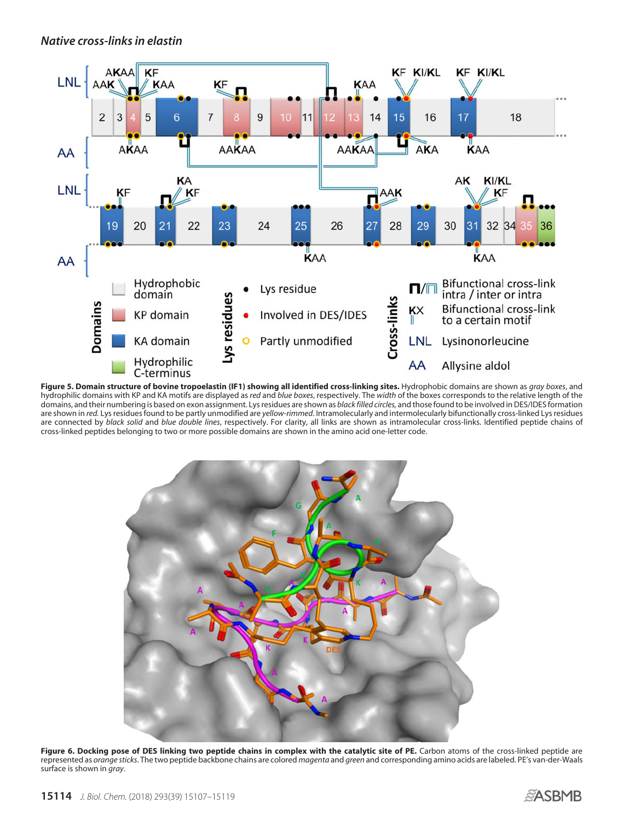<span id="page-7-0"></span>

<span id="page-7-1"></span>**Figure 5. Domain structure of bovine tropoelastin (IF1) showing all identified cross-linking sites.** Hydrophobic domains are shown as *gray boxes*, and hydrophilic domains with KP and KA motifs are displayed as *red* and *blue boxes*, respectively. The *width* of the boxes corresponds to the relative length of the domains, and their numbering is based on exon assignment. Lys residues are shown as *black filled circles,* and those found to be involved in DES/IDES formation are shown in *red.* Lys residues found to be partly unmodified are *yellow-rimmed*. Intramolecularly and intermolecularly bifunctionally cross-linked Lys residues are connected by *black solid* and *blue double lines*, respectively. For clarity, all links are shown as intramolecular cross-links. Identified peptide chains of cross-linked peptides belonging to two or more possible domains are shown in the amino acid one-letter code.



**Figure 6. Docking pose of DES linking two peptide chains in complex with the catalytic site of PE.** Carbon atoms of the cross-linked peptide are represented as *orange sticks*. The two peptide backbone chains are colored *magenta* and *green* and corresponding amino acids are labeled. PE's van-der-Waals surface is shown in *gray*.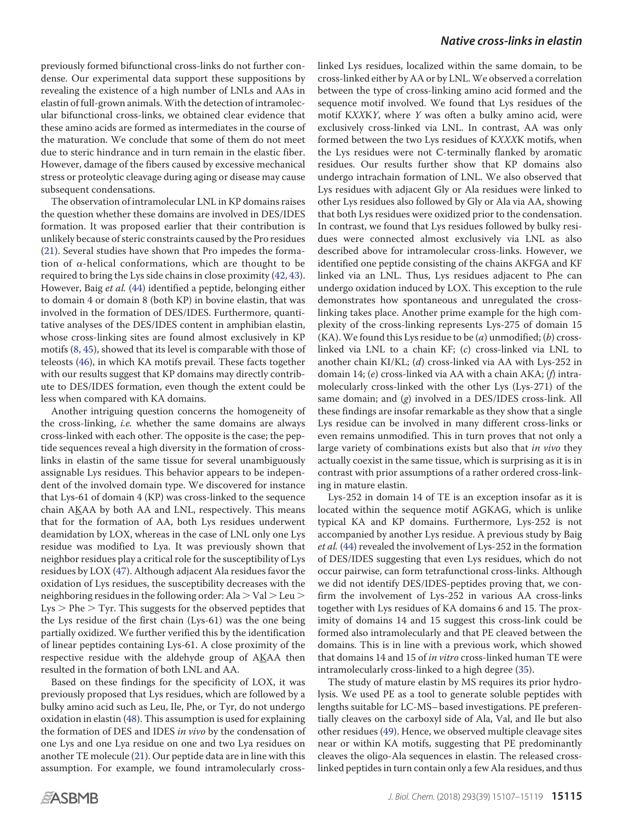previously formed bifunctional cross-links do not further condense. Our experimental data support these suppositions by revealing the existence of a high number of LNLs and AAs in elastin of full-grown animals.With the detection of intramolecular bifunctional cross-links, we obtained clear evidence that these amino acids are formed as intermediates in the course of the maturation. We conclude that some of them do not meet due to steric hindrance and in turn remain in the elastic fiber. However, damage of the fibers caused by excessive mechanical stress or proteolytic cleavage during aging or disease may cause subsequent condensations.

The observation of intramolecular LNL in KP domains raises the question whether these domains are involved in DES/IDES formation. It was proposed earlier that their contribution is unlikely because of steric constraints caused by the Pro residues [\(21\)](#page-11-18). Several studies have shown that Pro impedes the formation of  $\alpha$ -helical conformations, which are thought to be required to bring the Lys side chains in close proximity [\(42,](#page-12-7) [43\)](#page-12-8). However, Baig et al. [\(44\)](#page-12-9) identified a peptide, belonging either to domain 4 or domain 8 (both KP) in bovine elastin, that was involved in the formation of DES/IDES. Furthermore, quantitative analyses of the DES/IDES content in amphibian elastin, whose cross-linking sites are found almost exclusively in KP motifs [\(8,](#page-11-7) [45\)](#page-12-10), showed that its level is comparable with those of teleosts [\(46\)](#page-12-11), in which KA motifs prevail. These facts together with our results suggest that KP domains may directly contribute to DES/IDES formation, even though the extent could be less when compared with KA domains.

Another intriguing question concerns the homogeneity of the cross-linking, i.e. whether the same domains are always cross-linked with each other. The opposite is the case; the peptide sequences reveal a high diversity in the formation of crosslinks in elastin of the same tissue for several unambiguously assignable Lys residues. This behavior appears to be independent of the involved domain type. We discovered for instance that Lys-61 of domain 4 (KP) was cross-linked to the sequence chain AKAA by both AA and LNL, respectively. This means that for the formation of AA, both Lys residues underwent deamidation by LOX, whereas in the case of LNL only one Lys residue was modified to Lya. It was previously shown that neighbor residues play a critical role for the susceptibility of Lys residues by LOX [\(47\)](#page-12-12). Although adjacent Ala residues favor the oxidation of Lys residues, the susceptibility decreases with the neighboring residues in the following order: Ala  $>$  Val  $>$  Leu  $>$  $Lys$   $>$  Phe  $>$  Tyr. This suggests for the observed peptides that the Lys residue of the first chain (Lys-61) was the one being partially oxidized. We further verified this by the identification of linear peptides containing Lys-61. A close proximity of the respective residue with the aldehyde group of AKAA then resulted in the formation of both LNL and AA.

Based on these findings for the specificity of LOX, it was previously proposed that Lys residues, which are followed by a bulky amino acid such as Leu, Ile, Phe, or Tyr, do not undergo oxidation in elastin [\(48\)](#page-12-13). This assumption is used for explaining the formation of DES and IDES in vivo by the condensation of one Lys and one Lya residue on one and two Lya residues on another TE molecule [\(21\)](#page-11-18). Our peptide data are in line with this assumption. For example, we found intramolecularly cross-

linked Lys residues, localized within the same domain, to be cross-linked either by AA or by LNL.We observed a correlation between the type of cross-linking amino acid formed and the sequence motif involved. We found that Lys residues of the motif KXXKY, where Y was often a bulky amino acid, were exclusively cross-linked via LNL. In contrast, AA was only formed between the two Lys residues of KXXXK motifs, when the Lys residues were not C-terminally flanked by aromatic residues. Our results further show that KP domains also undergo intrachain formation of LNL. We also observed that Lys residues with adjacent Gly or Ala residues were linked to other Lys residues also followed by Gly or Ala via AA, showing that both Lys residues were oxidized prior to the condensation. In contrast, we found that Lys residues followed by bulky residues were connected almost exclusively via LNL as also described above for intramolecular cross-links. However, we identified one peptide consisting of the chains AKFGA and KF linked via an LNL. Thus, Lys residues adjacent to Phe can undergo oxidation induced by LOX. This exception to the rule demonstrates how spontaneous and unregulated the crosslinking takes place. Another prime example for the high complexity of the cross-linking represents Lys-275 of domain 15 (KA). We found this Lys residue to be  $(a)$  unmodified;  $(b)$  crosslinked via LNL to a chain KF; (c) cross-linked via LNL to another chain KI/KL; (d) cross-linked via AA with Lys-252 in domain 14; (e) cross-linked via AA with a chain AKA; (f) intramolecularly cross-linked with the other Lys (Lys-271) of the same domain; and (g) involved in a DES/IDES cross-link. All these findings are insofar remarkable as they show that a single Lys residue can be involved in many different cross-links or even remains unmodified. This in turn proves that not only a large variety of combinations exists but also that *in vivo* they actually coexist in the same tissue, which is surprising as it is in contrast with prior assumptions of a rather ordered cross-linking in mature elastin.

Lys-252 in domain 14 of TE is an exception insofar as it is located within the sequence motif AGKAG, which is unlike typical KA and KP domains. Furthermore, Lys-252 is not accompanied by another Lys residue. A previous study by Baig et al. [\(44\)](#page-12-9) revealed the involvement of Lys-252 in the formation of DES/IDES suggesting that even Lys residues, which do not occur pairwise, can form tetrafunctional cross-links. Although we did not identify DES/IDES-peptides proving that, we confirm the involvement of Lys-252 in various AA cross-links together with Lys residues of KA domains 6 and 15. The proximity of domains 14 and 15 suggest this cross-link could be formed also intramolecularly and that PE cleaved between the domains. This is in line with a previous work, which showed that domains 14 and 15 of in vitro cross-linked human TE were intramolecularly cross-linked to a high degree [\(35\)](#page-12-3).

The study of mature elastin by MS requires its prior hydrolysis. We used PE as a tool to generate soluble peptides with lengths suitable for LC-MS– based investigations. PE preferentially cleaves on the carboxyl side of Ala, Val, and Ile but also other residues [\(49\)](#page-12-14). Hence, we observed multiple cleavage sites near or within KA motifs, suggesting that PE predominantly cleaves the oligo-Ala sequences in elastin. The released crosslinked peptides in turn contain only a few Ala residues, and thus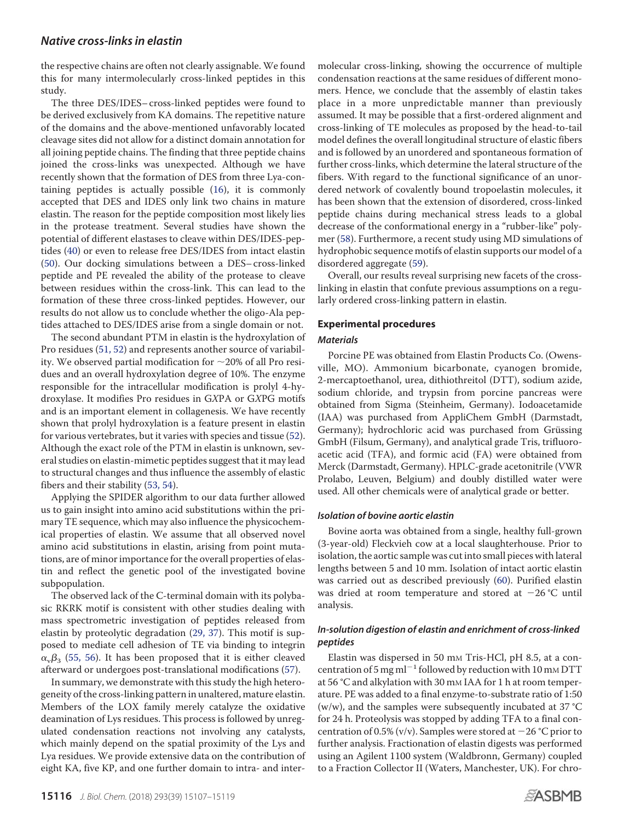# *Native cross-links in elastin*

the respective chains are often not clearly assignable. We found this for many intermolecularly cross-linked peptides in this study.

The three DES/IDES– cross-linked peptides were found to be derived exclusively from KA domains. The repetitive nature of the domains and the above-mentioned unfavorably located cleavage sites did not allow for a distinct domain annotation for all joining peptide chains. The finding that three peptide chains joined the cross-links was unexpected. Although we have recently shown that the formation of DES from three Lya-containing peptides is actually possible [\(16\)](#page-11-13), it is commonly accepted that DES and IDES only link two chains in mature elastin. The reason for the peptide composition most likely lies in the protease treatment. Several studies have shown the potential of different elastases to cleave within DES/IDES-peptides [\(40\)](#page-12-5) or even to release free DES/IDES from intact elastin [\(50\)](#page-12-15). Our docking simulations between a DES– cross-linked peptide and PE revealed the ability of the protease to cleave between residues within the cross-link. This can lead to the formation of these three cross-linked peptides. However, our results do not allow us to conclude whether the oligo-Ala peptides attached to DES/IDES arise from a single domain or not.

The second abundant PTM in elastin is the hydroxylation of Pro residues [\(51,](#page-12-16) [52\)](#page-12-17) and represents another source of variability. We observed partial modification for  $\sim$ 20% of all Pro residues and an overall hydroxylation degree of 10%. The enzyme responsible for the intracellular modification is prolyl 4-hydroxylase. It modifies Pro residues in GXPA or GXPG motifs and is an important element in collagenesis. We have recently shown that prolyl hydroxylation is a feature present in elastin for various vertebrates, but it varies with species and tissue [\(52\)](#page-12-17). Although the exact role of the PTM in elastin is unknown, several studies on elastin-mimetic peptides suggest that it may lead to structural changes and thus influence the assembly of elastic fibers and their stability [\(53,](#page-12-18) [54\)](#page-12-19).

Applying the SPIDER algorithm to our data further allowed us to gain insight into amino acid substitutions within the primary TE sequence, which may also influence the physicochemical properties of elastin. We assume that all observed novel amino acid substitutions in elastin, arising from point mutations, are of minor importance for the overall properties of elastin and reflect the genetic pool of the investigated bovine subpopulation.

The observed lack of the C-terminal domain with its polybasic RKRK motif is consistent with other studies dealing with mass spectrometric investigation of peptides released from elastin by proteolytic degradation [\(29,](#page-11-26) [37\)](#page-12-20). This motif is supposed to mediate cell adhesion of TE via binding to integrin  $\alpha_{\rm v}\beta_3$  [\(55,](#page-12-21) [56\)](#page-12-22). It has been proposed that it is either cleaved afterward or undergoes post-translational modifications [\(57\)](#page-12-23).

In summary, we demonstrate with this study the high heterogeneity of the cross-linking pattern in unaltered, mature elastin. Members of the LOX family merely catalyze the oxidative deamination of Lys residues. This process is followed by unregulated condensation reactions not involving any catalysts, which mainly depend on the spatial proximity of the Lys and Lya residues. We provide extensive data on the contribution of eight KA, five KP, and one further domain to intra- and intermolecular cross-linking, showing the occurrence of multiple condensation reactions at the same residues of different monomers. Hence, we conclude that the assembly of elastin takes place in a more unpredictable manner than previously assumed. It may be possible that a first-ordered alignment and cross-linking of TE molecules as proposed by the head-to-tail model defines the overall longitudinal structure of elastic fibers and is followed by an unordered and spontaneous formation of further cross-links, which determine the lateral structure of the fibers. With regard to the functional significance of an unordered network of covalently bound tropoelastin molecules, it has been shown that the extension of disordered, cross-linked peptide chains during mechanical stress leads to a global decrease of the conformational energy in a "rubber-like" polymer [\(58\)](#page-12-24). Furthermore, a recent study using MD simulations of hydrophobic sequence motifs of elastin supports our model of a disordered aggregate [\(59\)](#page-12-25).

Overall, our results reveal surprising new facets of the crosslinking in elastin that confute previous assumptions on a regularly ordered cross-linking pattern in elastin.

## **Experimental procedures**

### *Materials*

Porcine PE was obtained from Elastin Products Co. (Owensville, MO). Ammonium bicarbonate, cyanogen bromide, 2-mercaptoethanol, urea, dithiothreitol (DTT), sodium azide, sodium chloride, and trypsin from porcine pancreas were obtained from Sigma (Steinheim, Germany). Iodoacetamide (IAA) was purchased from AppliChem GmbH (Darmstadt, Germany); hydrochloric acid was purchased from Grüssing GmbH (Filsum, Germany), and analytical grade Tris, trifluoroacetic acid (TFA), and formic acid (FA) were obtained from Merck (Darmstadt, Germany). HPLC-grade acetonitrile (VWR Prolabo, Leuven, Belgium) and doubly distilled water were used. All other chemicals were of analytical grade or better.

### *Isolation of bovine aortic elastin*

Bovine aorta was obtained from a single, healthy full-grown (3-year-old) Fleckvieh cow at a local slaughterhouse. Prior to isolation, the aortic sample was cut into small pieces with lateral lengths between 5 and 10 mm. Isolation of intact aortic elastin was carried out as described previously [\(60\)](#page-12-26). Purified elastin was dried at room temperature and stored at  $-26$  °C until analysis.

## *In-solution digestion of elastin and enrichment of cross-linked peptides*

Elastin was dispersed in 50 mm Tris-HCl, pH 8.5, at a concentration of 5 mg ml<sup>-1</sup> followed by reduction with 10 mm DTT at 56 °C and alkylation with 30 mm IAA for 1 h at room temperature. PE was added to a final enzyme-to-substrate ratio of 1:50 (w/w), and the samples were subsequently incubated at 37 °C for 24 h. Proteolysis was stopped by adding TFA to a final concentration of 0.5% (v/v). Samples were stored at  $-26$  °C prior to further analysis. Fractionation of elastin digests was performed using an Agilent 1100 system (Waldbronn, Germany) coupled to a Fraction Collector II (Waters, Manchester, UK). For chro-

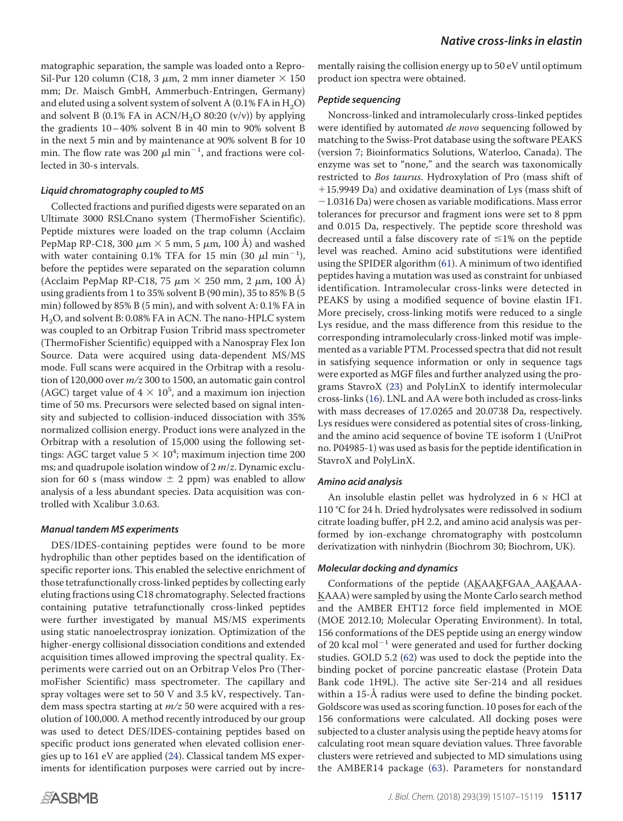matographic separation, the sample was loaded onto a Repro-Sil-Pur 120 column (C18, 3  $\mu$ m, 2 mm inner diameter  $\times$  150 mm; Dr. Maisch GmbH, Ammerbuch-Entringen, Germany) and eluted using a solvent system of solvent A  $(0.1\%$  FA in H<sub>2</sub>O) and solvent B (0.1% FA in ACN/H<sub>2</sub>O 80:20 (v/v)) by applying the gradients  $10-40\%$  solvent B in 40 min to 90% solvent B in the next 5 min and by maintenance at 90% solvent B for 10 min. The flow rate was 200  $\mu$ l min<sup>-1</sup>, and fractions were collected in 30-s intervals.

## *Liquid chromatography coupled to MS*

Collected fractions and purified digests were separated on an Ultimate 3000 RSLCnano system (ThermoFisher Scientific). Peptide mixtures were loaded on the trap column (Acclaim PepMap RP-C18, 300  $\mu$ m  $\times$  5 mm, 5  $\mu$ m, 100 Å) and washed with water containing 0.1% TFA for 15 min (30  $\mu$ l min<sup>-1</sup>), before the peptides were separated on the separation column (Acclaim PepMap RP-C18, 75  $\mu$ m  $\times$  250 mm, 2  $\mu$ m, 100 Å) using gradients from 1 to 35% solvent B (90 min), 35 to 85% B (5 min) followed by 85% B (5 min), and with solvent A: 0.1% FA in H2O, and solvent B: 0.08% FA in ACN. The nano-HPLC system was coupled to an Orbitrap Fusion Tribrid mass spectrometer (ThermoFisher Scientific) equipped with a Nanospray Flex Ion Source. Data were acquired using data-dependent MS/MS mode. Full scans were acquired in the Orbitrap with a resolution of 120,000 over  $m/z$  300 to 1500, an automatic gain control (AGC) target value of  $4 \times 10^5$ , and a maximum ion injection time of 50 ms. Precursors were selected based on signal intensity and subjected to collision-induced dissociation with 35% normalized collision energy. Product ions were analyzed in the Orbitrap with a resolution of 15,000 using the following settings: AGC target value  $5 \times 10^4$ ; maximum injection time 200 ms; and quadrupole isolation window of  $2 m/z$ . Dynamic exclusion for 60 s (mass window  $\pm$  2 ppm) was enabled to allow analysis of a less abundant species. Data acquisition was controlled with Xcalibur 3.0.63.

# *Manual tandem MS experiments*

DES/IDES-containing peptides were found to be more hydrophilic than other peptides based on the identification of specific reporter ions. This enabled the selective enrichment of those tetrafunctionally cross-linked peptides by collecting early eluting fractions using C18 chromatography. Selected fractions containing putative tetrafunctionally cross-linked peptides were further investigated by manual MS/MS experiments using static nanoelectrospray ionization. Optimization of the higher-energy collisional dissociation conditions and extended acquisition times allowed improving the spectral quality. Experiments were carried out on an Orbitrap Velos Pro (ThermoFisher Scientific) mass spectrometer. The capillary and spray voltages were set to 50 V and 3.5 kV, respectively. Tandem mass spectra starting at  $m/z$  50 were acquired with a resolution of 100,000. A method recently introduced by our group was used to detect DES/IDES-containing peptides based on specific product ions generated when elevated collision energies up to 161 eV are applied [\(24\)](#page-11-21). Classical tandem MS experiments for identification purposes were carried out by incrementally raising the collision energy up to 50 eV until optimum

# *Peptide sequencing*

Noncross-linked and intramolecularly cross-linked peptides were identified by automated *de novo* sequencing followed by matching to the Swiss-Prot database using the software PEAKS (version 7; Bioinformatics Solutions, Waterloo, Canada). The enzyme was set to "none," and the search was taxonomically restricted to Bos taurus. Hydroxylation of Pro (mass shift of 15.9949 Da) and oxidative deamination of Lys (mass shift of  $-1.0316$  Da) were chosen as variable modifications. Mass error tolerances for precursor and fragment ions were set to 8 ppm and 0.015 Da, respectively. The peptide score threshold was decreased until a false discovery rate of  $\leq 1\%$  on the peptide level was reached. Amino acid substitutions were identified using the SPIDER algorithm [\(61\)](#page-12-27). A minimum of two identified peptides having a mutation was used as constraint for unbiased identification. Intramolecular cross-links were detected in PEAKS by using a modified sequence of bovine elastin IF1. More precisely, cross-linking motifs were reduced to a single Lys residue, and the mass difference from this residue to the corresponding intramolecularly cross-linked motif was implemented as a variable PTM. Processed spectra that did not result in satisfying sequence information or only in sequence tags were exported as MGF files and further analyzed using the programs StavroX [\(23\)](#page-11-20) and PolyLinX to identify intermolecular cross-links [\(16\)](#page-11-13). LNL and AA were both included as cross-links with mass decreases of 17.0265 and 20.0738 Da, respectively. Lys residues were considered as potential sites of cross-linking, and the amino acid sequence of bovine TE isoform 1 (UniProt no. P04985-1) was used as basis for the peptide identification in StavroX and PolyLinX.

# *Amino acid analysis*

An insoluble elastin pellet was hydrolyzed in 6 N HCl at 110 °C for 24 h. Dried hydrolysates were redissolved in sodium citrate loading buffer, pH 2.2, and amino acid analysis was performed by ion-exchange chromatography with postcolumn derivatization with ninhydrin (Biochrom 30; Biochrom, UK).

# *Molecular docking and dynamics*

Conformations of the peptide (AKAAKFGAA\_AAKAAA-KAAA) were sampled by using the Monte Carlo search method and the AMBER EHT12 force field implemented in MOE (MOE 2012.10; Molecular Operating Environment). In total, 156 conformations of the DES peptide using an energy window of 20 kcal mol<sup>-1</sup> were generated and used for further docking studies. GOLD 5.2 [\(62\)](#page-12-28) was used to dock the peptide into the binding pocket of porcine pancreatic elastase (Protein Data Bank code 1H9L). The active site Ser-214 and all residues within a 15-Å radius were used to define the binding pocket. Goldscore was used as scoring function. 10 poses for each of the 156 conformations were calculated. All docking poses were subjected to a cluster analysis using the peptide heavy atoms for calculating root mean square deviation values. Three favorable clusters were retrieved and subjected to MD simulations using the AMBER14 package [\(63\)](#page-12-29). Parameters for nonstandard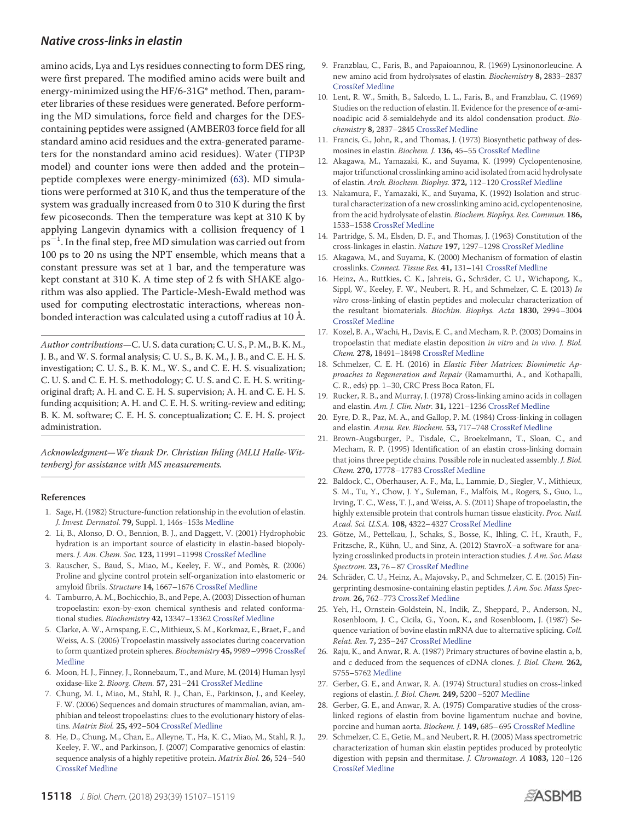# *Native cross-links in elastin*

amino acids, Lya and Lys residues connecting to form DES ring, were first prepared. The modified amino acids were built and energy-minimized using the HF/6-31G\* method. Then, parameter libraries of these residues were generated. Before performing the MD simulations, force field and charges for the DEScontaining peptides were assigned (AMBER03 force field for all standard amino acid residues and the extra-generated parameters for the nonstandard amino acid residues). Water (TIP3P model) and counter ions were then added and the protein– peptide complexes were energy-minimized [\(63\)](#page-12-29). MD simulations were performed at 310 K, and thus the temperature of the system was gradually increased from 0 to 310 K during the first few picoseconds. Then the temperature was kept at 310 K by applying Langevin dynamics with a collision frequency of 1  $ps^{-1}$ . In the final step, free MD simulation was carried out from 100 ps to 20 ns using the NPT ensemble, which means that a constant pressure was set at 1 bar, and the temperature was kept constant at 310 K. A time step of 2 fs with SHAKE algorithm was also applied. The Particle-Mesh-Ewald method was used for computing electrostatic interactions, whereas nonbonded interaction was calculated using a cutoff radius at 10 Å.

Author contributions—C. U. S. data curation; C. U. S., P. M., B. K. M., J. B., and W. S. formal analysis; C. U. S., B. K. M., J. B., and C. E. H. S. investigation; C. U. S., B. K. M., W. S., and C. E. H. S. visualization; C. U. S. and C. E. H. S. methodology; C. U. S. and C. E. H. S. writingoriginal draft; A. H. and C. E. H. S. supervision; A. H. and C. E. H. S. funding acquisition; A. H. and C. E. H. S. writing-review and editing; B. K. M. software; C. E. H. S. conceptualization; C. E. H. S. project administration.

Acknowledgment—We thank Dr. Christian Ihling (MLU Halle-Wittenberg) for assistance with MS measurements.

#### <span id="page-11-0"></span>**References**

- 1. Sage, H. (1982) Structure-function relationship in the evolution of elastin. *J. Invest. Dermatol.* **79,** Suppl. 1, 146s–153s Medline
- <span id="page-11-1"></span>2. Li, B., Alonso, D. O., Bennion, B. J., and Daggett, V. (2001) Hydrophobic hydration is an important source of elasticity in elastin-based biopolymers. *J. Am. Chem. Soc.* **123,** 11991–11998 CrossRef Medline
- <span id="page-11-2"></span>3. Rauscher, S., Baud, S., Miao, M., Keeley, F. W., and Pomès, R. (2006) Proline and glycine control protein self-organization into elastomeric or amyloid fibrils. *Structure* **14,** 1667–1676 CrossRef Medline
- <span id="page-11-3"></span>4. Tamburro, A. M., Bochicchio, B., and Pepe, A. (2003) Dissection of human tropoelastin: exon-by-exon chemical synthesis and related conformational studies. *Biochemistry* **42,** 13347–13362 CrossRef Medline
- <span id="page-11-4"></span>5. Clarke, A. W., Arnspang, E. C., Mithieux, S. M., Korkmaz, E., Braet, F., and Weiss, A. S. (2006) Tropoelastin massively associates during coacervation to form quantized protein spheres. *Biochemistry* **45,** 9989–9996 CrossRef Medline
- <span id="page-11-5"></span>6. Moon, H. J., Finney, J., Ronnebaum, T., and Mure, M. (2014) Human lysyl oxidase-like 2. *Bioorg. Chem.* **57,** 231–241 CrossRef Medline
- <span id="page-11-6"></span>7. Chung, M. I., Miao, M., Stahl, R. J., Chan, E., Parkinson, J., and Keeley, F. W. (2006) Sequences and domain structures of mammalian, avian, amphibian and teleost tropoelastins: clues to the evolutionary history of elastins. *Matrix Biol.* **25,** 492–504 CrossRef Medline
- <span id="page-11-7"></span>8. He, D., Chung, M., Chan, E., Alleyne, T., Ha, K. C., Miao, M., Stahl, R. J., Keeley, F. W., and Parkinson, J. (2007) Comparative genomics of elastin: sequence analysis of a highly repetitive protein. *Matrix Biol.* **26,** 524–540 CrossRef Medline
- <span id="page-11-8"></span>9. Franzblau, C., Faris, B., and Papaioannou, R. (1969) Lysinonorleucine. A new amino acid from hydrolysates of elastin. *Biochemistry* **8,** 2833–2837 CrossRef Medline
- <span id="page-11-9"></span>10. Lent, R. W., Smith, B., Salcedo, L. L., Faris, B., and Franzblau, C. (1969) Studies on the reduction of elastin. II. Evidence for the presence of  $\alpha$ -aminoadipic acid δ-semialdehyde and its aldol condensation product. Bio*chemistry* **8,** 2837–2845 CrossRef Medline
- <span id="page-11-10"></span>11. Francis, G., John, R., and Thomas, J. (1973) Biosynthetic pathway of desmosines in elastin. *Biochem. J.* **136,** 45–55 CrossRef Medline
- 12. Akagawa, M., Yamazaki, K., and Suyama, K. (1999) Cyclopentenosine, major trifunctional crosslinking amino acid isolated from acid hydrolysate of elastin. *Arch. Biochem. Biophys.* **372,** 112–120 CrossRef Medline
- <span id="page-11-11"></span>13. Nakamura, F., Yamazaki, K., and Suyama, K. (1992) Isolation and structural characterization of a new crosslinking amino acid, cyclopentenosine, from the acid hydrolysate of elastin. *Biochem. Biophys. Res. Commun.* **186,** 1533–1538 CrossRef Medline
- <span id="page-11-12"></span>14. Partridge, S. M., Elsden, D. F., and Thomas, J. (1963) Constitution of the cross-linkages in elastin. *Nature* **197,** 1297–1298 CrossRef Medline
- 15. Akagawa, M., and Suyama, K. (2000) Mechanism of formation of elastin crosslinks. *Connect. Tissue Res.* **41,** 131–141 CrossRef Medline
- <span id="page-11-13"></span>16. Heinz, A., Ruttkies, C. K., Jahreis, G., Schräder, C. U., Wichapong, K., Sippl, W., Keeley, F. W., Neubert, R. H., and Schmelzer, C. E. (2013) *In vitro* cross-linking of elastin peptides and molecular characterization of the resultant biomaterials. *Biochim. Biophys. Acta* **1830,** 2994–3004 CrossRef Medline
- <span id="page-11-14"></span>17. Kozel, B. A., Wachi, H., Davis, E. C., and Mecham, R. P. (2003) Domains in tropoelastin that mediate elastin deposition *in vitro* and *in vivo*. *J. Biol. Chem.* **278,** 18491–18498 CrossRef Medline
- <span id="page-11-15"></span>18. Schmelzer, C. E. H. (2016) in *Elastic Fiber Matrices: Biomimetic Approaches to Regeneration and Repair* (Ramamurthi, A., and Kothapalli, C. R., eds) pp. 1–30, CRC Press Boca Raton, FL
- <span id="page-11-16"></span>19. Rucker, R. B., and Murray, J. (1978) Cross-linking amino acids in collagen and elastin. *Am. J. Clin. Nutr.* **31,** 1221–1236 CrossRef Medline
- <span id="page-11-17"></span>20. Eyre, D. R., Paz, M. A., and Gallop, P. M. (1984) Cross-linking in collagen and elastin. *Annu. Rev. Biochem.* **53,** 717–748 CrossRef Medline
- <span id="page-11-18"></span>21. Brown-Augsburger, P., Tisdale, C., Broekelmann, T., Sloan, C., and Mecham, R. P. (1995) Identification of an elastin cross-linking domain that joins three peptide chains. Possible role in nucleated assembly. *J. Biol. Chem.* **270,** 17778–17783 CrossRef Medline
- <span id="page-11-19"></span>22. Baldock, C., Oberhauser, A. F., Ma, L., Lammie, D., Siegler, V., Mithieux, S. M., Tu, Y., Chow, J. Y., Suleman, F., Malfois, M., Rogers, S., Guo, L., Irving, T. C., Wess, T. J., and Weiss, A. S. (2011) Shape of tropoelastin, the highly extensible protein that controls human tissue elasticity. *Proc. Natl. Acad. Sci. U.S.A.* **108,** 4322–4327 CrossRef Medline
- <span id="page-11-20"></span>23. Götze, M., Pettelkau, J., Schaks, S., Bosse, K., Ihling, C. H., Krauth, F., Fritzsche, R., Kühn, U., and Sinz, A. (2012) StavroX-a software for analyzing crosslinked products in protein interaction studies. *J. Am. Soc. Mass Spectrom.* **23,** 76–87 CrossRef Medline
- <span id="page-11-21"></span>24. Schräder, C. U., Heinz, A., Majovsky, P., and Schmelzer, C. E. (2015) Fingerprinting desmosine-containing elastin peptides. *J. Am. Soc. Mass Spectrom.* **26,** 762–773 CrossRef Medline
- <span id="page-11-22"></span>25. Yeh, H., Ornstein-Goldstein, N., Indik, Z., Sheppard, P., Anderson, N., Rosenbloom, J. C., Cicila, G., Yoon, K., and Rosenbloom, J. (1987) Sequence variation of bovine elastin mRNA due to alternative splicing. *Coll. Relat. Res.* **7,** 235–247 CrossRef Medline
- <span id="page-11-23"></span>26. Raju, K., and Anwar, R. A. (1987) Primary structures of bovine elastin a, b, and c deduced from the sequences of cDNA clones. *J. Biol. Chem.* **262,** 5755–5762 Medline
- <span id="page-11-24"></span>27. Gerber, G. E., and Anwar, R. A. (1974) Structural studies on cross-linked regions of elastin. *J. Biol. Chem.* **249,** 5200–5207 Medline
- <span id="page-11-25"></span>28. Gerber, G. E., and Anwar, R. A. (1975) Comparative studies of the crosslinked regions of elastin from bovine ligamentum nuchae and bovine, porcine and human aorta. *Biochem. J.* **149,** 685–695 CrossRef Medline
- <span id="page-11-26"></span>29. Schmelzer, C. E., Getie, M., and Neubert, R. H. (2005) Mass spectrometric characterization of human skin elastin peptides produced by proteolytic digestion with pepsin and thermitase. *J. Chromatogr. A* **1083,** 120–126 CrossRef Medline